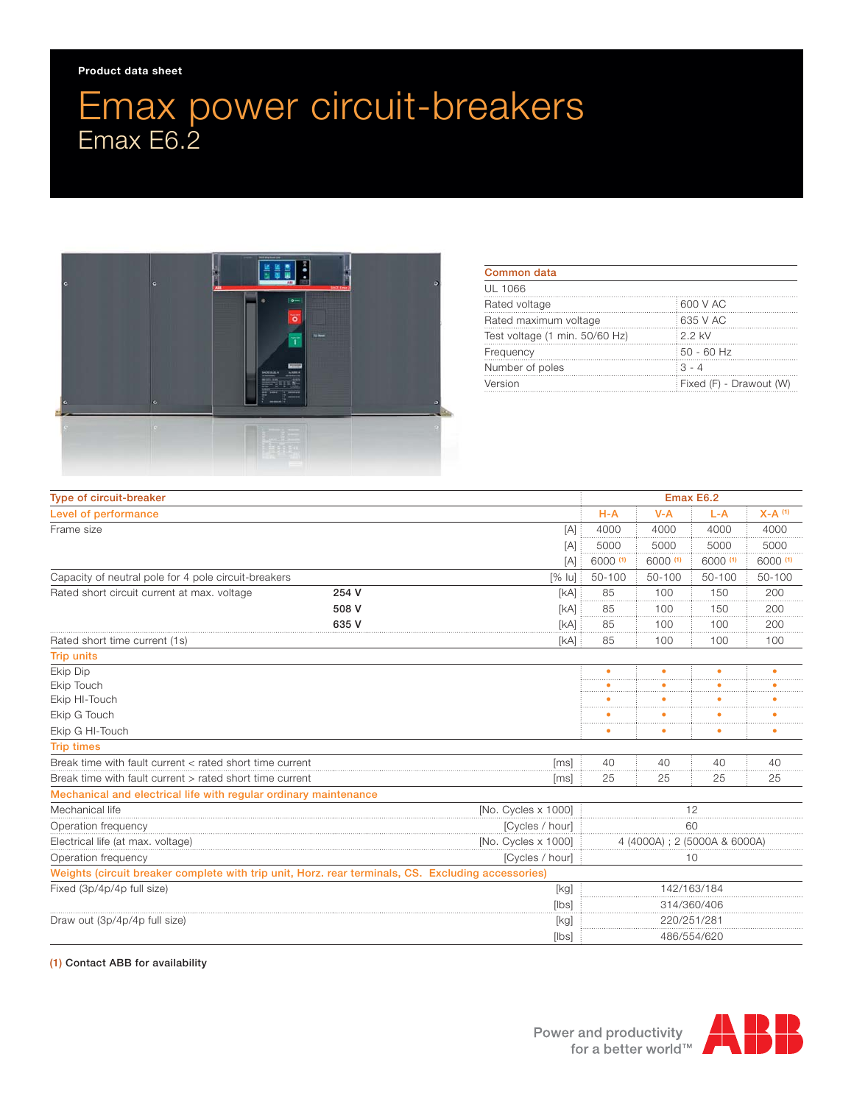## Emax power circuit-breakers Emax E6.2



| Common data                    |                         |
|--------------------------------|-------------------------|
| UL 1066                        |                         |
| Rated voltage                  | 600 V AC                |
| Rated maximum voltage          | 635 V AC                |
| Test voltage (1 min. 50/60 Hz) | : 2.2 kV                |
| Frequency                      | $50 - 60$ Hz            |
| Number of poles                | $3 - 4$                 |
| Version                        | Fixed (F) - Drawout (W) |

| Type of circuit-breaker                                                                            |       |                              | Emax E6.2   |             |            |                      |
|----------------------------------------------------------------------------------------------------|-------|------------------------------|-------------|-------------|------------|----------------------|
| Level of performance                                                                               |       |                              | $H-A$       | $V - A$     | $L-A$      | $X-A$ <sup>(1)</sup> |
| Frame size                                                                                         |       | [A]                          | 4000        | 4000        | 4000       | 4000                 |
|                                                                                                    |       | [A]                          | 5000        | 5000        | 5000       | 5000                 |
|                                                                                                    |       | [A]                          | 6000 (1)    | 6000 (1)    | 6000 (1)   | 6000 (1)             |
| Capacity of neutral pole for 4 pole circuit-breakers<br>$[%$ $ u]$                                 |       |                              | 50-100      | $50 - 100$  | $50 - 100$ | $50 - 100$           |
| Rated short circuit current at max. voltage                                                        | 254 V | [kA]                         | 85          | 100         | 150        | 200                  |
|                                                                                                    | 508 V | [kA]                         | 85          | 100         | 150        | 200                  |
|                                                                                                    | 635 V | [kA]                         | 85          | 100         | 100        | 200                  |
| Rated short time current (1s)                                                                      |       | [kA]                         | 85          | 100         | 100        | 100                  |
| <b>Trip units</b>                                                                                  |       |                              |             |             |            |                      |
| Ekip Dip                                                                                           |       |                              | $\bullet$   | $\bullet$   | $\bullet$  | ٠                    |
| Ekip Touch                                                                                         |       |                              |             |             |            |                      |
| Ekip HI-Touch                                                                                      |       |                              |             |             |            |                      |
| Ekip G Touch                                                                                       |       |                              |             |             |            |                      |
| Ekip G HI-Touch                                                                                    |       |                              | ٠           |             | ٠          |                      |
| <b>Trip times</b>                                                                                  |       |                              |             |             |            |                      |
| Break time with fault current < rated short time current<br><i>[ms]</i>                            |       |                              | 40          | 40          | 40         | 40                   |
| Break time with fault current > rated short time current<br>[ms]                                   |       |                              | 25          | 25          | 25         | 25                   |
| Mechanical and electrical life with regular ordinary maintenance                                   |       |                              |             |             |            |                      |
| Mechanical life<br>[No. Cycles x 1000]                                                             |       | 12                           |             |             |            |                      |
| Operation frequency                                                                                |       | [Cycles / hour]              | 60          |             |            |                      |
| [No. Cycles x 1000]<br>Electrical life (at max. voltage)                                           |       | 4 (4000A) ; 2 (5000A & 6000A |             |             |            |                      |
| [Cycles / hour]<br>Operation frequency                                                             |       | 10                           |             |             |            |                      |
| Weights (circuit breaker complete with trip unit, Horz. rear terminals, CS. Excluding accessories) |       |                              |             |             |            |                      |
| Fixed (3p/4p/4p full size)                                                                         |       | [kg]                         | 142/163/184 |             |            |                      |
|                                                                                                    |       | [lbs]                        | 314/360/406 |             |            |                      |
| Draw out (3p/4p/4p full size)                                                                      |       | [kg]                         | 220/251/281 |             |            |                      |
|                                                                                                    |       | [lbs]                        |             | 486/554/620 |            |                      |

## (1) Contact ABB for availability